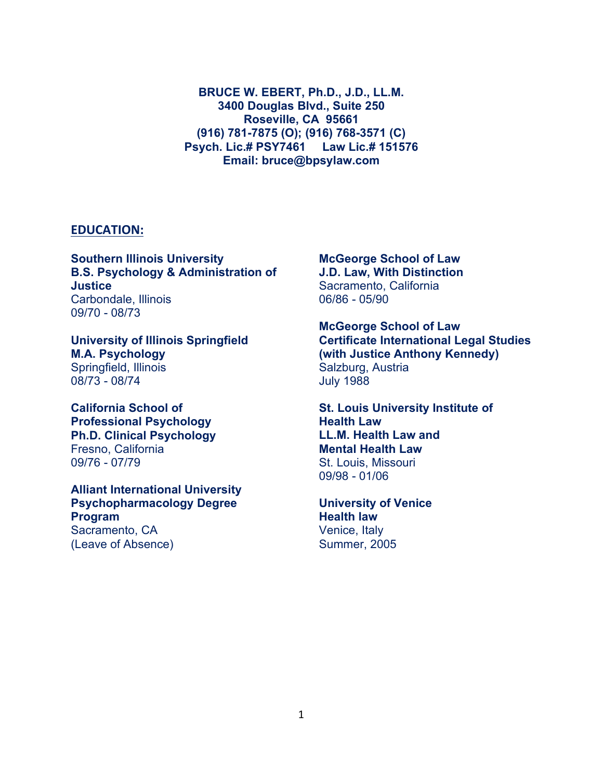**BRUCE W. EBERT, Ph.D., J.D., LL.M. 3400 Douglas Blvd., Suite 250 Roseville, CA 95661 (916) 781-7875 (O); (916) 768-3571 (C) Psych. Lic.# PSY7461 Law Lic.# 151576 Email: bruce@bpsylaw.com**

#### **EDUCATION:**

**Southern Illinois University B.S. Psychology & Administration of Justice** Carbondale, Illinois 09/70 - 08/73

**University of Illinois Springfield M.A. Psychology** Springfield, Illinois 08/73 - 08/74

**California School of Professional Psychology Ph.D. Clinical Psychology** Fresno, California 09/76 - 07/79

**Alliant International University Psychopharmacology Degree Program** Sacramento, CA (Leave of Absence)

### **McGeorge School of Law J.D. Law, With Distinction**

Sacramento, California 06/86 - 05/90

**McGeorge School of Law Certificate International Legal Studies (with Justice Anthony Kennedy)** Salzburg, Austria July 1988

**St. Louis University Institute of Health Law LL.M. Health Law and Mental Health Law** St. Louis, Missouri 09/98 - 01/06

**University of Venice Health law** Venice, Italy Summer, 2005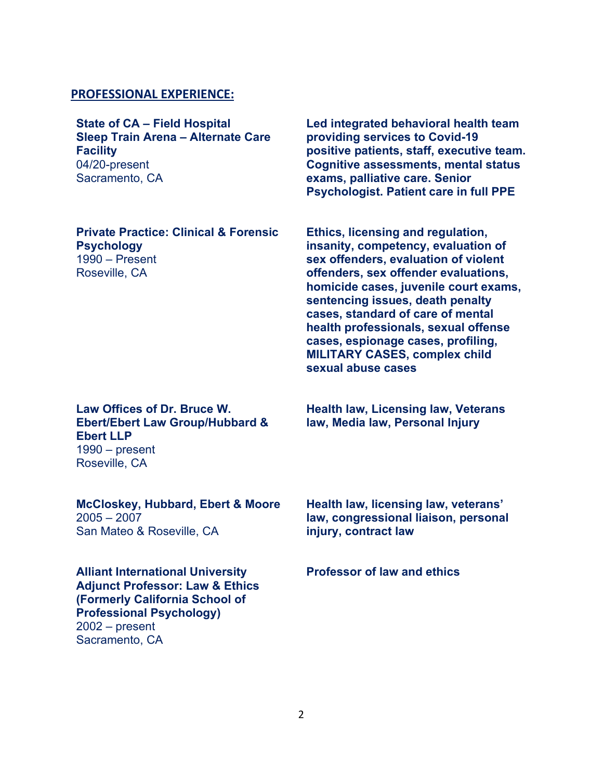### **PROFESSIONAL EXPERIENCE:**

**State of CA – Field Hospital Sleep Train Arena – Alternate Care Facility** 04/20-present Sacramento, CA

**Private Practice: Clinical & Forensic Psychology** 1990 – Present Roseville, CA

**Led integrated behavioral health team providing services to Covid-19 positive patients, staff, executive team. Cognitive assessments, mental status exams, palliative care. Senior Psychologist. Patient care in full PPE**

**Ethics, licensing and regulation, insanity, competency, evaluation of sex offenders, evaluation of violent offenders, sex offender evaluations, homicide cases, juvenile court exams, sentencing issues, death penalty cases, standard of care of mental health professionals, sexual offense cases, espionage cases, profiling, MILITARY CASES, complex child sexual abuse cases**

### **Law Offices of Dr. Bruce W. Ebert/Ebert Law Group/Hubbard & Ebert LLP** 1990 – present Roseville, CA

**McCloskey, Hubbard, Ebert & Moore** 2005 – 2007 San Mateo & Roseville, CA

**Alliant International University Adjunct Professor: Law & Ethics (Formerly California School of Professional Psychology)** 2002 – present Sacramento, CA

**Health law, Licensing law, Veterans law, Media law, Personal Injury**

**Health law, licensing law, veterans' law, congressional liaison, personal injury, contract law**

**Professor of law and ethics**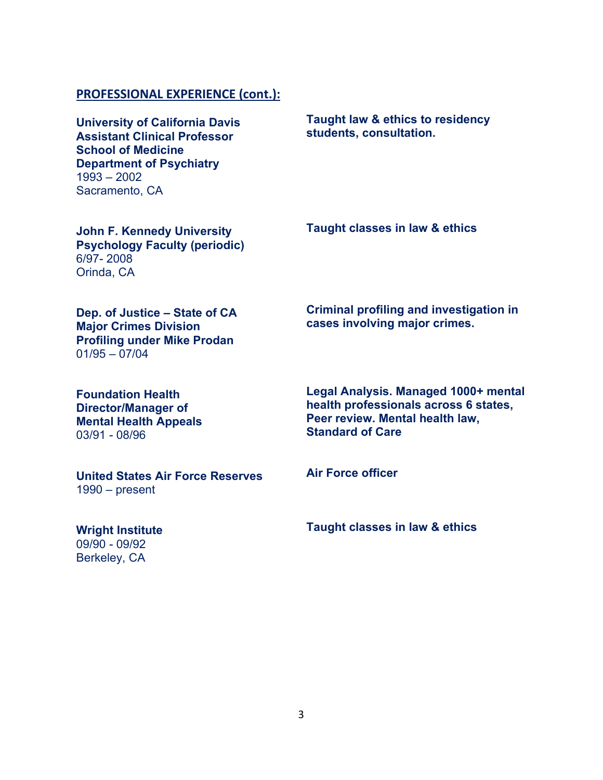### **PROFESSIONAL EXPERIENCE (cont.):**

**University of California Davis Assistant Clinical Professor School of Medicine Department of Psychiatry** 1993 – 2002 Sacramento, CA

**Taught law & ethics to residency students, consultation.**

**John F. Kennedy University Psychology Faculty (periodic)** 6/97- 2008 Orinda, CA

**Taught classes in law & ethics**

**Dep. of Justice – State of CA Major Crimes Division Profiling under Mike Prodan** 01/95 – 07/04

**Criminal profiling and investigation in cases involving major crimes.**

**Foundation Health Director/Manager of Mental Health Appeals** 03/91 - 08/96

**Legal Analysis. Managed 1000+ mental health professionals across 6 states, Peer review. Mental health law, Standard of Care**

**United States Air Force Reserves** 1990 – present

**Wright Institute**  09/90 - 09/92 Berkeley, CA

**Air Force officer**

**Taught classes in law & ethics**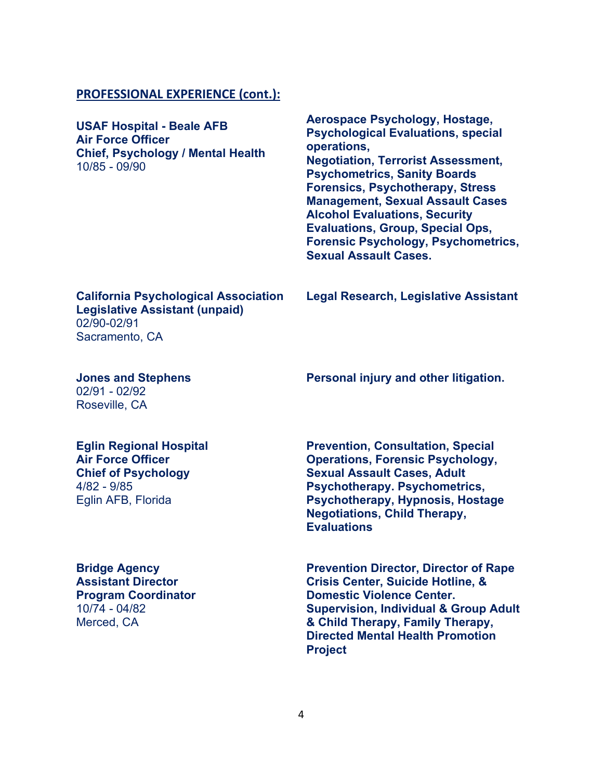### **PROFESSIONAL EXPERIENCE (cont.):**

**USAF Hospital - Beale AFB Air Force Officer Chief, Psychology / Mental Health** 10/85 - 09/90

**Aerospace Psychology, Hostage, Psychological Evaluations, special operations, Negotiation, Terrorist Assessment, Psychometrics, Sanity Boards Forensics, Psychotherapy, Stress Management, Sexual Assault Cases Alcohol Evaluations, Security Evaluations, Group, Special Ops, Forensic Psychology, Psychometrics, Sexual Assault Cases.**

**California Psychological Association Legislative Assistant (unpaid)** 02/90-02/91 Sacramento, CA

**Legal Research, Legislative Assistant**

#### **Jones and Stephens**  02/91 - 02/92

Roseville, CA

#### **Personal injury and other litigation.**

#### **Eglin Regional Hospital Air Force Officer**

**Chief of Psychology** 4/82 - 9/85 Eglin AFB, Florida

### **Bridge Agency Assistant Director Program Coordinator** 10/74 - 04/82 Merced, CA

**Prevention, Consultation, Special Operations, Forensic Psychology, Sexual Assault Cases, Adult Psychotherapy. Psychometrics, Psychotherapy, Hypnosis, Hostage Negotiations, Child Therapy, Evaluations**

**Prevention Director, Director of Rape Crisis Center, Suicide Hotline, & Domestic Violence Center. Supervision, Individual & Group Adult & Child Therapy, Family Therapy, Directed Mental Health Promotion Project**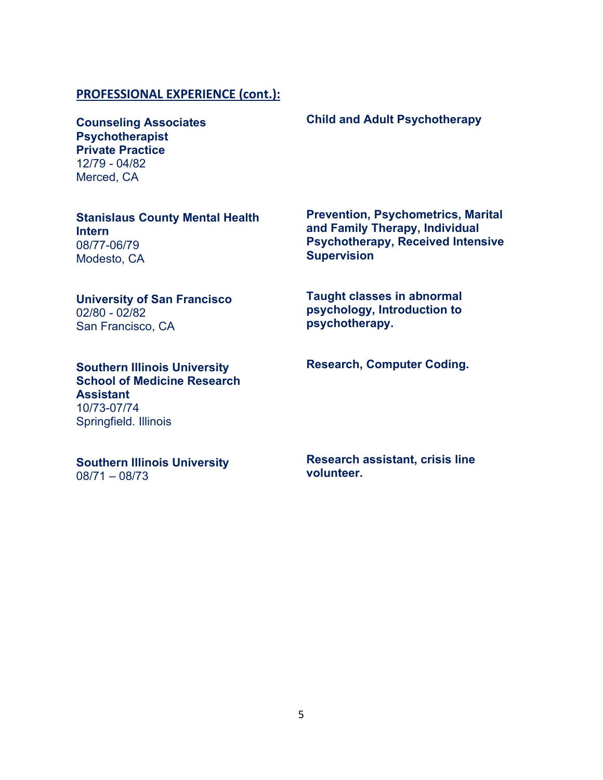### **PROFESSIONAL EXPERIENCE (cont.):**

**Counseling Associates Psychotherapist Private Practice** 12/79 - 04/82 Merced, CA

**Stanislaus County Mental Health Intern** 08/77-06/79 Modesto, CA

#### **University of San Francisco**  02/80 - 02/82

San Francisco, CA

**Southern Illinois University School of Medicine Research Assistant** 10/73-07/74 Springfield. Illinois

**Southern Illinois University** 08/71 – 08/73

**Prevention, Psychometrics, Marital and Family Therapy, Individual Psychotherapy, Received Intensive** 

**Taught classes in abnormal psychology, Introduction to psychotherapy.**

**Supervision**

**Research, Computer Coding.**

**Research assistant, crisis line volunteer.**

## **Child and Adult Psychotherapy**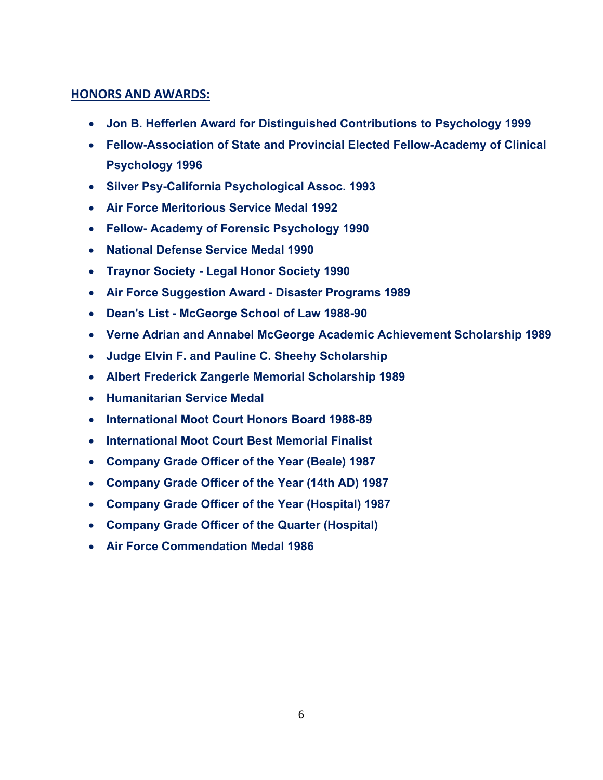### **HONORS AND AWARDS:**

- **Jon B. Hefferlen Award for Distinguished Contributions to Psychology 1999**
- **Fellow-Association of State and Provincial Elected Fellow-Academy of Clinical Psychology 1996**
- **Silver Psy-California Psychological Assoc. 1993**
- **Air Force Meritorious Service Medal 1992**
- **Fellow- Academy of Forensic Psychology 1990**
- **National Defense Service Medal 1990**
- **Traynor Society - Legal Honor Society 1990**
- **Air Force Suggestion Award - Disaster Programs 1989**
- **Dean's List - McGeorge School of Law 1988-90**
- **Verne Adrian and Annabel McGeorge Academic Achievement Scholarship 1989**
- **Judge Elvin F. and Pauline C. Sheehy Scholarship**
- **Albert Frederick Zangerle Memorial Scholarship 1989**
- **Humanitarian Service Medal**
- **International Moot Court Honors Board 1988-89**
- **International Moot Court Best Memorial Finalist**
- **Company Grade Officer of the Year (Beale) 1987**
- **Company Grade Officer of the Year (14th AD) 1987**
- **Company Grade Officer of the Year (Hospital) 1987**
- **Company Grade Officer of the Quarter (Hospital)**
- **Air Force Commendation Medal 1986**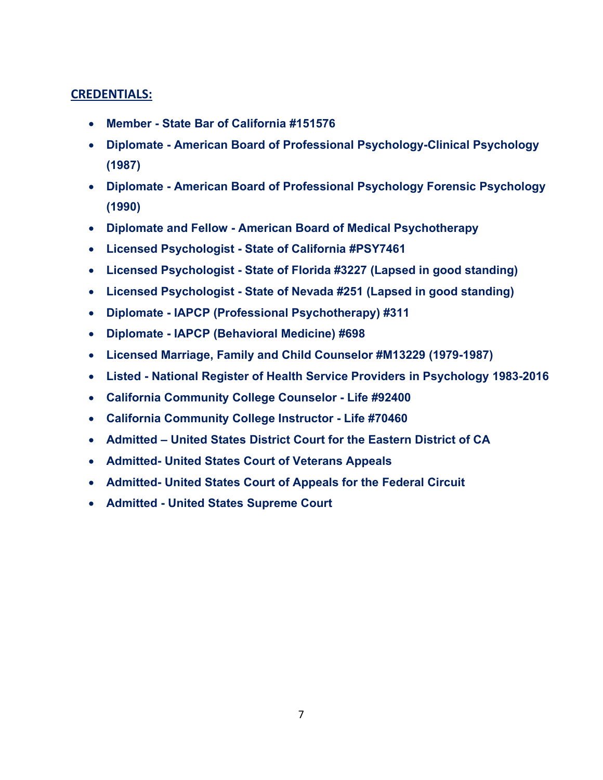## **CREDENTIALS:**

- **Member - State Bar of California #151576**
- **Diplomate - American Board of Professional Psychology-Clinical Psychology (1987)**
- **Diplomate - American Board of Professional Psychology Forensic Psychology (1990)**
- **Diplomate and Fellow - American Board of Medical Psychotherapy**
- **Licensed Psychologist - State of California #PSY7461**
- **Licensed Psychologist - State of Florida #3227 (Lapsed in good standing)**
- **Licensed Psychologist - State of Nevada #251 (Lapsed in good standing)**
- **Diplomate - IAPCP (Professional Psychotherapy) #311**
- **Diplomate - IAPCP (Behavioral Medicine) #698**
- **Licensed Marriage, Family and Child Counselor #M13229 (1979-1987)**
- **Listed - National Register of Health Service Providers in Psychology 1983-2016**
- **California Community College Counselor - Life #92400**
- **California Community College Instructor - Life #70460**
- **Admitted – United States District Court for the Eastern District of CA**
- **Admitted- United States Court of Veterans Appeals**
- **Admitted- United States Court of Appeals for the Federal Circuit**
- **Admitted - United States Supreme Court**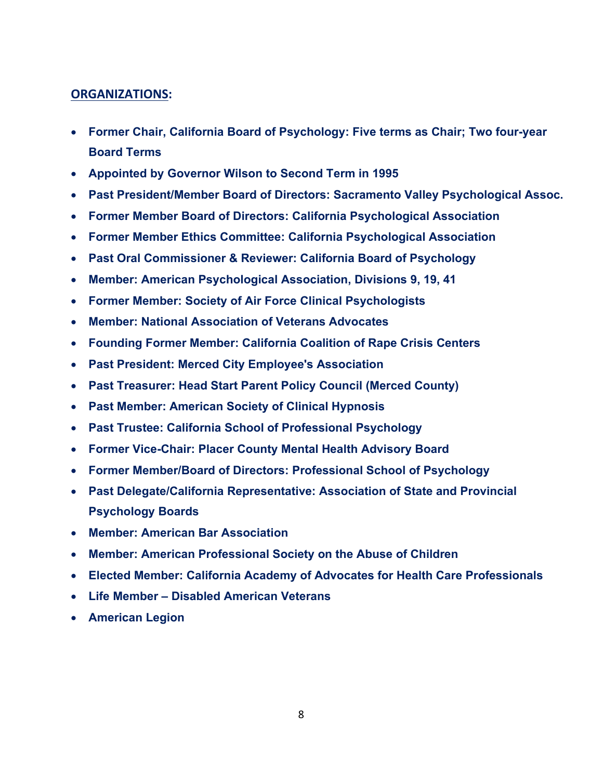### **ORGANIZATIONS:**

- **Former Chair, California Board of Psychology: Five terms as Chair; Two four-year Board Terms**
- **Appointed by Governor Wilson to Second Term in 1995**
- **Past President/Member Board of Directors: Sacramento Valley Psychological Assoc.**
- **Former Member Board of Directors: California Psychological Association**
- **Former Member Ethics Committee: California Psychological Association**
- **Past Oral Commissioner & Reviewer: California Board of Psychology**
- **Member: American Psychological Association, Divisions 9, 19, 41**
- **Former Member: Society of Air Force Clinical Psychologists**
- **Member: National Association of Veterans Advocates**
- **Founding Former Member: California Coalition of Rape Crisis Centers**
- **Past President: Merced City Employee's Association**
- **Past Treasurer: Head Start Parent Policy Council (Merced County)**
- **Past Member: American Society of Clinical Hypnosis**
- **Past Trustee: California School of Professional Psychology**
- **Former Vice-Chair: Placer County Mental Health Advisory Board**
- **Former Member/Board of Directors: Professional School of Psychology**
- **Past Delegate/California Representative: Association of State and Provincial Psychology Boards**
- **Member: American Bar Association**
- **Member: American Professional Society on the Abuse of Children**
- **Elected Member: California Academy of Advocates for Health Care Professionals**
- **Life Member – Disabled American Veterans**
- **American Legion**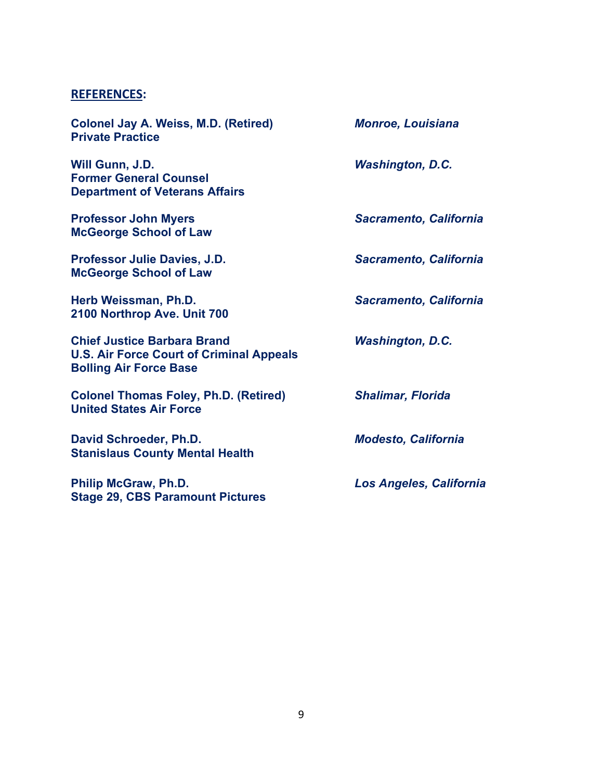### **REFERENCES:**

**Colonel Jay A. Weiss, M.D. (Retired)** *Monroe, Louisiana* **Private Practice Will Gunn, J.D.** *Washington, D.C.* **Former General Counsel Department of Veterans Affairs Professor John Myers** *Sacramento, California* **McGeorge School of Law Professor Julie Davies, J.D.** *Sacramento, California* **McGeorge School of Law Herb Weissman, Ph.D.** *Sacramento, California* **2100 Northrop Ave. Unit 700 Chief Justice Barbara Brand** *Washington, D.C.* **U.S. Air Force Court of Criminal Appeals Bolling Air Force Base Colonel Thomas Foley, Ph.D. (Retired)** *Shalimar, Florida* **United States Air Force David Schroeder, Ph.D.** *Modesto, California* **Stanislaus County Mental Health Philip McGraw, Ph.D.** *Los Angeles, California* **Stage 29, CBS Paramount Pictures**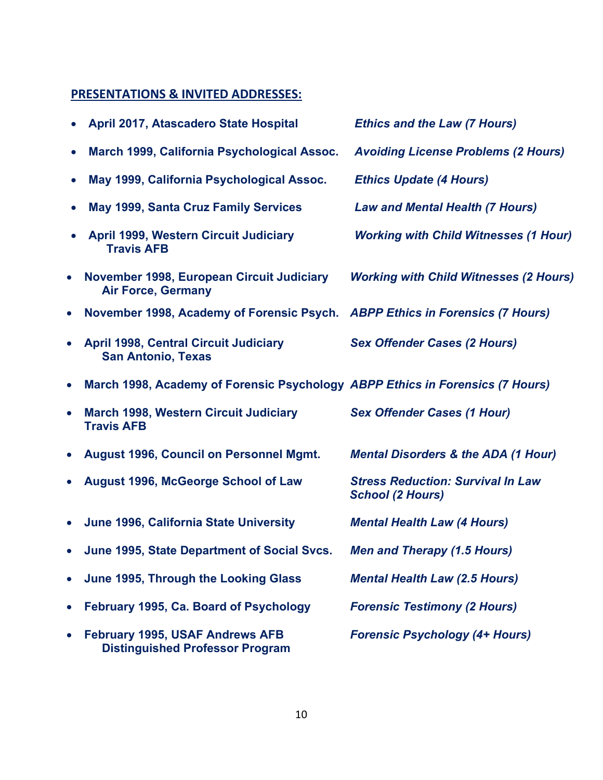# **PRESENTATIONS & INVITED ADDRESSES:**

|           | April 2017, Atascadero State Hospital                                            | <b>Ethics and the Law (7 Hours)</b>                                 |
|-----------|----------------------------------------------------------------------------------|---------------------------------------------------------------------|
| $\bullet$ | March 1999, California Psychological Assoc.                                      | <b>Avoiding License Problems (2 Hours)</b>                          |
| $\bullet$ | May 1999, California Psychological Assoc.                                        | <b>Ethics Update (4 Hours)</b>                                      |
| $\bullet$ | <b>May 1999, Santa Cruz Family Services</b>                                      | <b>Law and Mental Health (7 Hours)</b>                              |
|           | <b>April 1999, Western Circuit Judiciary</b><br><b>Travis AFB</b>                | <b>Working with Child Witnesses (1 Hour)</b>                        |
| $\bullet$ | November 1998, European Circuit Judiciary<br><b>Air Force, Germany</b>           | <b>Working with Child Witnesses (2 Hours)</b>                       |
| $\bullet$ | November 1998, Academy of Forensic Psych. ABPP Ethics in Forensics (7 Hours)     |                                                                     |
| $\bullet$ | <b>April 1998, Central Circuit Judiciary</b><br><b>San Antonio, Texas</b>        | <b>Sex Offender Cases (2 Hours)</b>                                 |
| $\bullet$ | March 1998, Academy of Forensic Psychology ABPP Ethics in Forensics (7 Hours)    |                                                                     |
| $\bullet$ | <b>March 1998, Western Circuit Judiciary</b><br><b>Travis AFB</b>                | <b>Sex Offender Cases (1 Hour)</b>                                  |
| $\bullet$ | <b>August 1996, Council on Personnel Mgmt.</b>                                   | <b>Mental Disorders &amp; the ADA (1 Hour)</b>                      |
| $\bullet$ | <b>August 1996, McGeorge School of Law</b>                                       | <b>Stress Reduction: Survival In Law</b><br><b>School (2 Hours)</b> |
| $\bullet$ | June 1996, California State University                                           | <b>Mental Health Law (4 Hours)</b>                                  |
| $\bullet$ | June 1995, State Department of Social Svcs.                                      | <b>Men and Therapy (1.5 Hours)</b>                                  |
| $\bullet$ | June 1995, Through the Looking Glass                                             | <b>Mental Health Law (2.5 Hours)</b>                                |
| $\bullet$ | February 1995, Ca. Board of Psychology                                           | <b>Forensic Testimony (2 Hours)</b>                                 |
| $\bullet$ | <b>February 1995, USAF Andrews AFB</b><br><b>Distinguished Professor Program</b> | <b>Forensic Psychology (4+ Hours)</b>                               |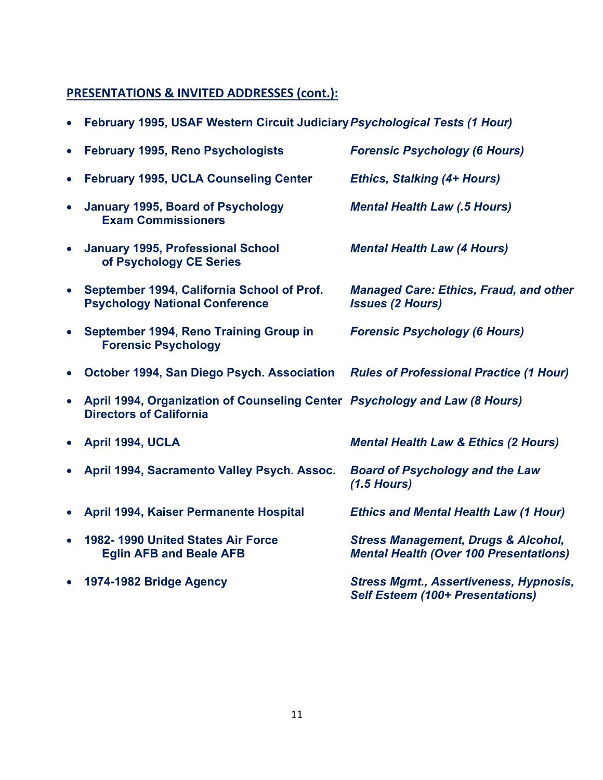# **PRESENTATIONS & INVITED ADDRESSES (cont.):**

| $\bullet$ | February 1995, USAF Western Circuit Judiciary Psychological Tests (1 Hour)                                   |                                                                                                 |
|-----------|--------------------------------------------------------------------------------------------------------------|-------------------------------------------------------------------------------------------------|
| $\bullet$ | February 1995, Reno Psychologists                                                                            | <b>Forensic Psychology (6 Hours)</b>                                                            |
| $\bullet$ | <b>February 1995, UCLA Counseling Center</b>                                                                 | <b>Ethics, Stalking (4+ Hours)</b>                                                              |
| $\bullet$ | <b>January 1995, Board of Psychology</b><br><b>Exam Commissioners</b>                                        | <b>Mental Health Law (.5 Hours)</b>                                                             |
| $\bullet$ | <b>January 1995, Professional School</b><br>of Psychology CE Series                                          | <b>Mental Health Law (4 Hours)</b>                                                              |
| $\bullet$ | September 1994, California School of Prof.<br><b>Psychology National Conference</b>                          | <b>Managed Care: Ethics, Fraud, and other</b><br><b>Issues (2 Hours)</b>                        |
| $\bullet$ | September 1994, Reno Training Group in<br><b>Forensic Psychology</b>                                         | <b>Forensic Psychology (6 Hours)</b>                                                            |
| $\bullet$ | October 1994, San Diego Psych. Association                                                                   | <b>Rules of Professional Practice (1 Hour)</b>                                                  |
| $\bullet$ | April 1994, Organization of Counseling Center Psychology and Law (8 Hours)<br><b>Directors of California</b> |                                                                                                 |
| $\bullet$ | April 1994, UCLA                                                                                             | <b>Mental Health Law &amp; Ethics (2 Hours)</b>                                                 |
| $\bullet$ | April 1994, Sacramento Valley Psych. Assoc.                                                                  | <b>Board of Psychology and the Law</b><br>$(1.5$ Hours)                                         |
| $\bullet$ | April 1994, Kaiser Permanente Hospital                                                                       | <b>Ethics and Mental Health Law (1 Hour)</b>                                                    |
| $\bullet$ | 1982-1990 United States Air Force<br><b>Eglin AFB and Beale AFB</b>                                          | <b>Stress Management, Drugs &amp; Alcohol,</b><br><b>Mental Health (Over 100 Presentations)</b> |
|           | 1974-1982 Bridge Agency                                                                                      | <b>Stress Mgmt., Assertiveness, Hypnosis,</b><br><b>Self Esteem (100+ Presentations)</b>        |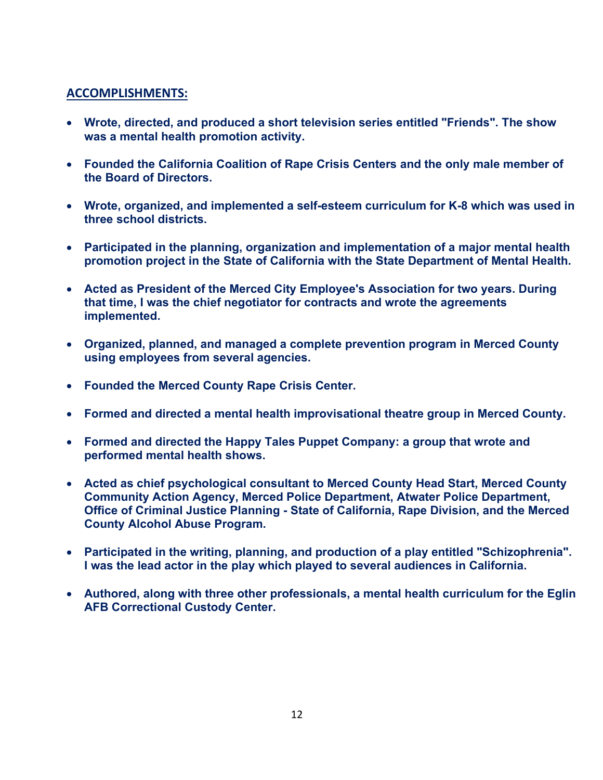### **ACCOMPLISHMENTS:**

- **Wrote, directed, and produced a short television series entitled "Friends". The show was a mental health promotion activity.**
- **Founded the California Coalition of Rape Crisis Centers and the only male member of the Board of Directors.**
- **Wrote, organized, and implemented a self-esteem curriculum for K-8 which was used in three school districts.**
- **Participated in the planning, organization and implementation of a major mental health promotion project in the State of California with the State Department of Mental Health.**
- **Acted as President of the Merced City Employee's Association for two years. During that time, I was the chief negotiator for contracts and wrote the agreements implemented.**
- **Organized, planned, and managed a complete prevention program in Merced County using employees from several agencies.**
- **Founded the Merced County Rape Crisis Center.**
- **Formed and directed a mental health improvisational theatre group in Merced County.**
- **Formed and directed the Happy Tales Puppet Company: a group that wrote and performed mental health shows.**
- **Acted as chief psychological consultant to Merced County Head Start, Merced County Community Action Agency, Merced Police Department, Atwater Police Department, Office of Criminal Justice Planning - State of California, Rape Division, and the Merced County Alcohol Abuse Program.**
- **Participated in the writing, planning, and production of a play entitled "Schizophrenia". I was the lead actor in the play which played to several audiences in California.**
- **Authored, along with three other professionals, a mental health curriculum for the Eglin AFB Correctional Custody Center.**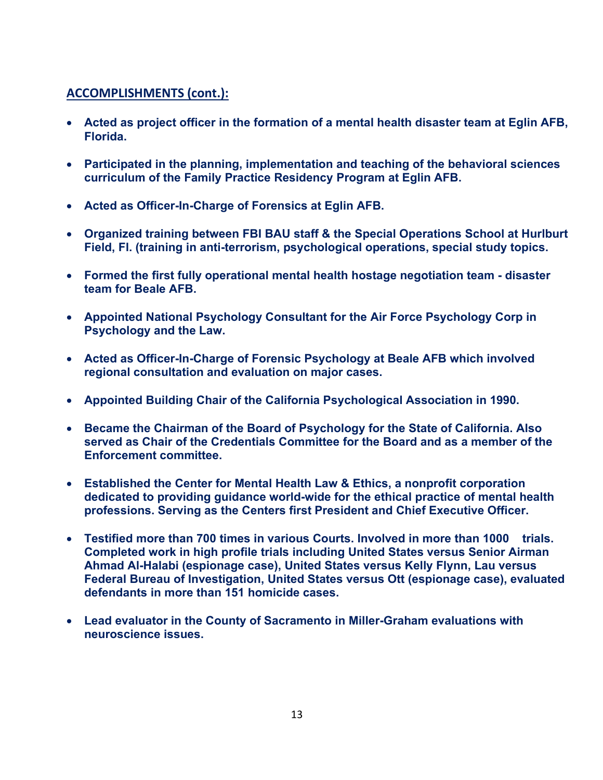# **ACCOMPLISHMENTS (cont.):**

- **Acted as project officer in the formation of a mental health disaster team at Eglin AFB, Florida.**
- **Participated in the planning, implementation and teaching of the behavioral sciences curriculum of the Family Practice Residency Program at Eglin AFB.**
- **Acted as Officer-In-Charge of Forensics at Eglin AFB.**
- **Organized training between FBI BAU staff & the Special Operations School at Hurlburt Field, Fl. (training in anti-terrorism, psychological operations, special study topics.**
- **Formed the first fully operational mental health hostage negotiation team - disaster team for Beale AFB.**
- **Appointed National Psychology Consultant for the Air Force Psychology Corp in Psychology and the Law.**
- **Acted as Officer-In-Charge of Forensic Psychology at Beale AFB which involved regional consultation and evaluation on major cases.**
- **Appointed Building Chair of the California Psychological Association in 1990.**
- **Became the Chairman of the Board of Psychology for the State of California. Also served as Chair of the Credentials Committee for the Board and as a member of the Enforcement committee.**
- **Established the Center for Mental Health Law & Ethics, a nonprofit corporation dedicated to providing guidance world-wide for the ethical practice of mental health professions. Serving as the Centers first President and Chief Executive Officer.**
- **Testified more than 700 times in various Courts. Involved in more than 1000 trials. Completed work in high profile trials including United States versus Senior Airman Ahmad Al-Halabi (espionage case), United States versus Kelly Flynn, Lau versus Federal Bureau of Investigation, United States versus Ott (espionage case), evaluated defendants in more than 151 homicide cases.**
- **Lead evaluator in the County of Sacramento in Miller-Graham evaluations with neuroscience issues.**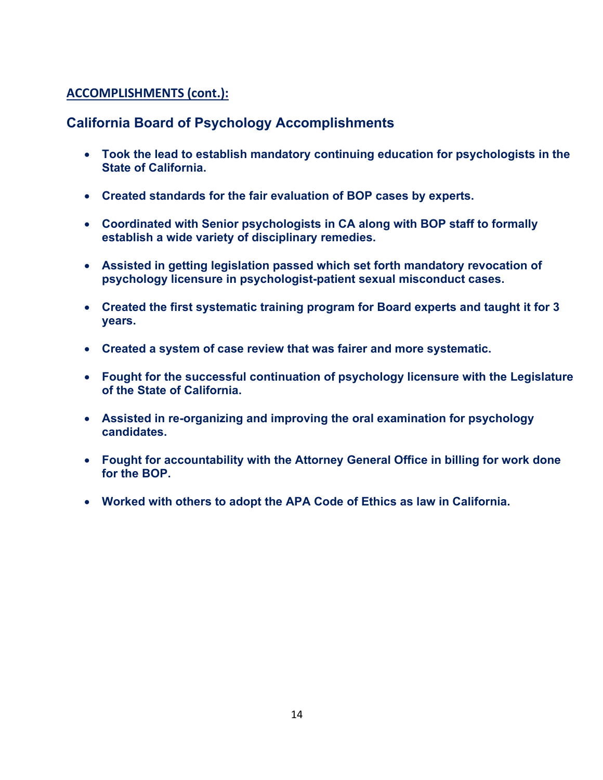# **ACCOMPLISHMENTS (cont.):**

# **California Board of Psychology Accomplishments**

- **Took the lead to establish mandatory continuing education for psychologists in the State of California.**
- **Created standards for the fair evaluation of BOP cases by experts.**
- **Coordinated with Senior psychologists in CA along with BOP staff to formally establish a wide variety of disciplinary remedies.**
- **Assisted in getting legislation passed which set forth mandatory revocation of psychology licensure in psychologist-patient sexual misconduct cases.**
- **Created the first systematic training program for Board experts and taught it for 3 years.**
- **Created a system of case review that was fairer and more systematic.**
- **Fought for the successful continuation of psychology licensure with the Legislature of the State of California.**
- **Assisted in re-organizing and improving the oral examination for psychology candidates.**
- **Fought for accountability with the Attorney General Office in billing for work done for the BOP.**
- **Worked with others to adopt the APA Code of Ethics as law in California.**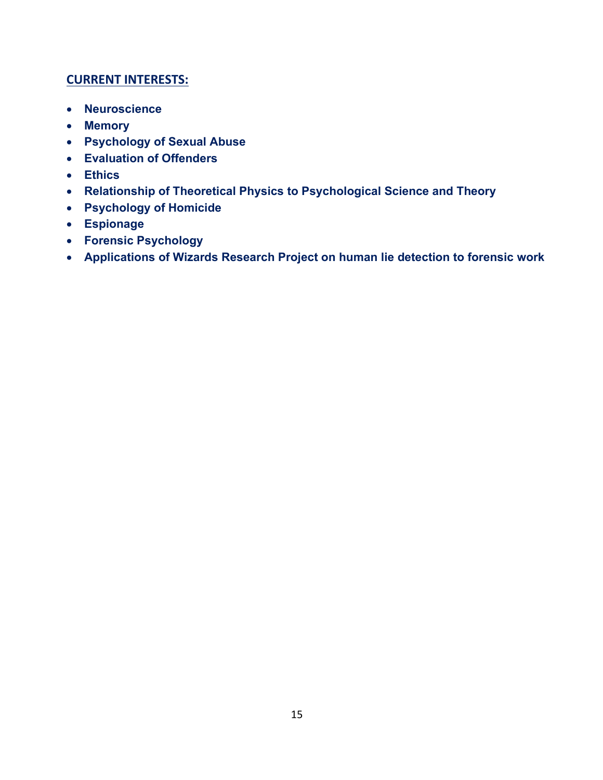## **CURRENT INTERESTS:**

- **Neuroscience**
- **Memory**
- **Psychology of Sexual Abuse**
- **Evaluation of Offenders**
- **Ethics**
- **Relationship of Theoretical Physics to Psychological Science and Theory**
- **Psychology of Homicide**
- **Espionage**
- **Forensic Psychology**
- **Applications of Wizards Research Project on human lie detection to forensic work**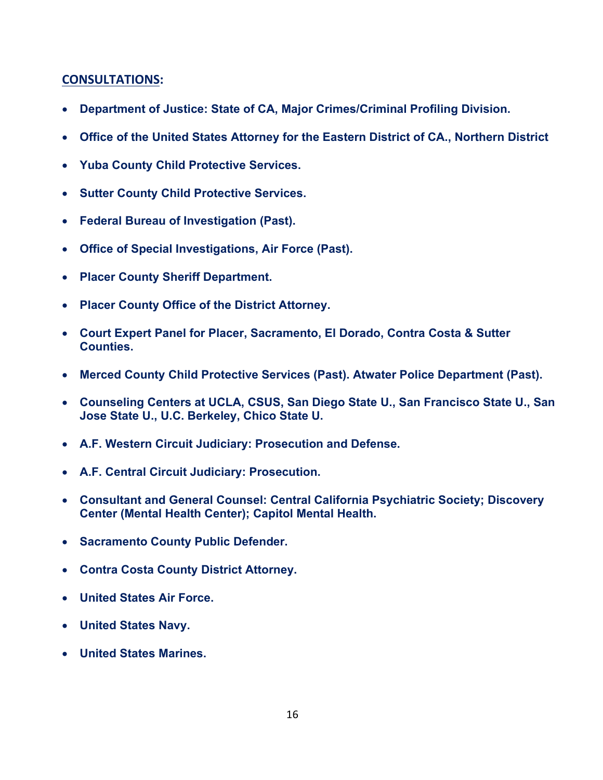### **CONSULTATIONS:**

- **Department of Justice: State of CA, Major Crimes/Criminal Profiling Division.**
- **Office of the United States Attorney for the Eastern District of CA., Northern District**
- **Yuba County Child Protective Services.**
- **Sutter County Child Protective Services.**
- **Federal Bureau of Investigation (Past).**
- **Office of Special Investigations, Air Force (Past).**
- **Placer County Sheriff Department.**
- **Placer County Office of the District Attorney.**
- **Court Expert Panel for Placer, Sacramento, El Dorado, Contra Costa & Sutter Counties.**
- **Merced County Child Protective Services (Past). Atwater Police Department (Past).**
- **Counseling Centers at UCLA, CSUS, San Diego State U., San Francisco State U., San Jose State U., U.C. Berkeley, Chico State U.**
- **A.F. Western Circuit Judiciary: Prosecution and Defense.**
- **A.F. Central Circuit Judiciary: Prosecution.**
- **Consultant and General Counsel: Central California Psychiatric Society; Discovery Center (Mental Health Center); Capitol Mental Health.**
- **Sacramento County Public Defender.**
- **Contra Costa County District Attorney.**
- **United States Air Force.**
- **United States Navy.**
- **United States Marines.**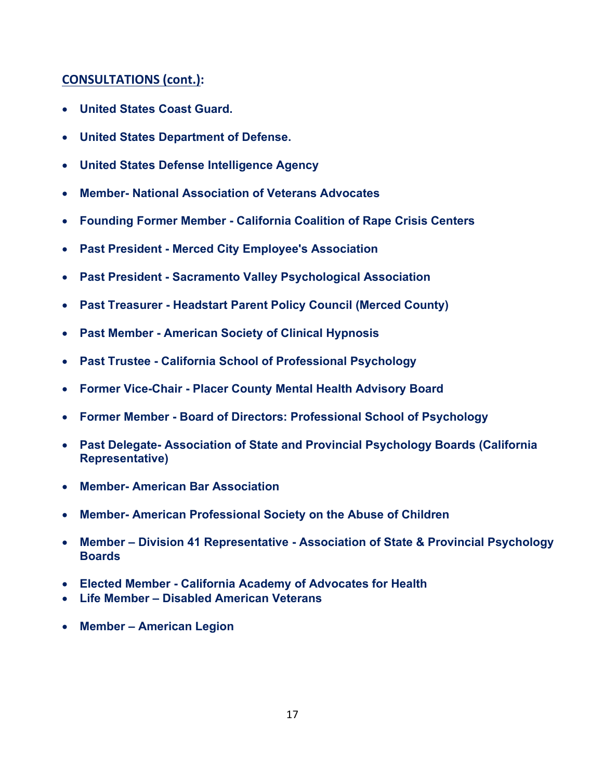# **CONSULTATIONS (cont.):**

- **United States Coast Guard.**
- **United States Department of Defense.**
- **United States Defense Intelligence Agency**
- **Member- National Association of Veterans Advocates**
- **Founding Former Member - California Coalition of Rape Crisis Centers**
- **Past President - Merced City Employee's Association**
- **Past President - Sacramento Valley Psychological Association**
- **Past Treasurer - Headstart Parent Policy Council (Merced County)**
- **Past Member - American Society of Clinical Hypnosis**
- **Past Trustee - California School of Professional Psychology**
- **Former Vice-Chair - Placer County Mental Health Advisory Board**
- **Former Member - Board of Directors: Professional School of Psychology**
- **Past Delegate- Association of State and Provincial Psychology Boards (California Representative)**
- **Member- American Bar Association**
- **Member- American Professional Society on the Abuse of Children**
- **Member – Division 41 Representative - Association of State & Provincial Psychology Boards**
- **Elected Member - California Academy of Advocates for Health**
- **Life Member – Disabled American Veterans**
- **Member – American Legion**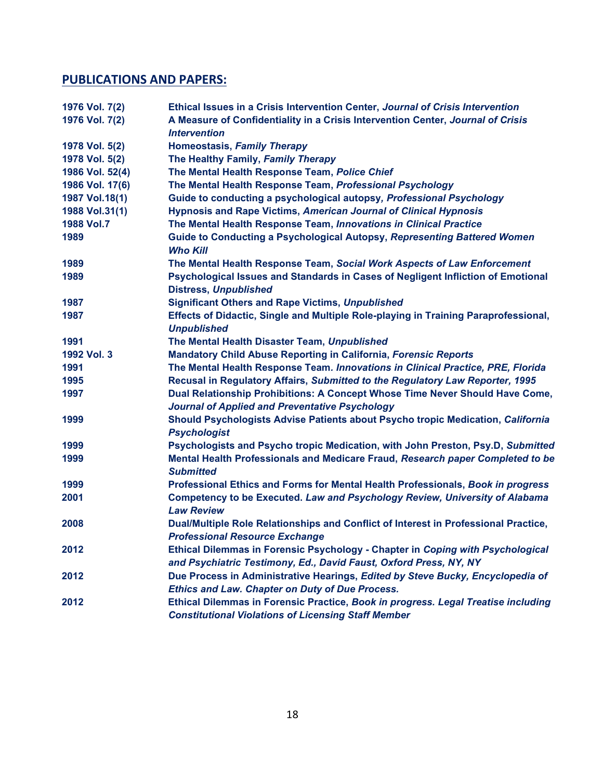## **PUBLICATIONS AND PAPERS:**

| 1976 Vol. 7(2)  | Ethical Issues in a Crisis Intervention Center, Journal of Crisis Intervention                                                                      |
|-----------------|-----------------------------------------------------------------------------------------------------------------------------------------------------|
| 1976 Vol. 7(2)  | A Measure of Confidentiality in a Crisis Intervention Center, Journal of Crisis                                                                     |
|                 | <b>Intervention</b>                                                                                                                                 |
| 1978 Vol. 5(2)  | <b>Homeostasis, Family Therapy</b>                                                                                                                  |
| 1978 Vol. 5(2)  | The Healthy Family, Family Therapy                                                                                                                  |
| 1986 Vol. 52(4) | The Mental Health Response Team, Police Chief                                                                                                       |
| 1986 Vol. 17(6) | The Mental Health Response Team, Professional Psychology                                                                                            |
| 1987 Vol.18(1)  | Guide to conducting a psychological autopsy, Professional Psychology                                                                                |
| 1988 Vol.31(1)  | <b>Hypnosis and Rape Victims, American Journal of Clinical Hypnosis</b>                                                                             |
| 1988 Vol.7      | The Mental Health Response Team, Innovations in Clinical Practice                                                                                   |
| 1989            | Guide to Conducting a Psychological Autopsy, Representing Battered Women<br><b>Who Kill</b>                                                         |
| 1989            | The Mental Health Response Team, Social Work Aspects of Law Enforcement                                                                             |
| 1989            | Psychological Issues and Standards in Cases of Negligent Infliction of Emotional<br><b>Distress, Unpublished</b>                                    |
| 1987            | <b>Significant Others and Rape Victims, Unpublished</b>                                                                                             |
| 1987            | Effects of Didactic, Single and Multiple Role-playing in Training Paraprofessional,<br><b>Unpublished</b>                                           |
| 1991            | The Mental Health Disaster Team, Unpublished                                                                                                        |
| 1992 Vol. 3     | <b>Mandatory Child Abuse Reporting in California, Forensic Reports</b>                                                                              |
| 1991            | The Mental Health Response Team. Innovations in Clinical Practice, PRE, Florida                                                                     |
| 1995            | Recusal in Regulatory Affairs, Submitted to the Regulatory Law Reporter, 1995                                                                       |
| 1997            | Dual Relationship Prohibitions: A Concept Whose Time Never Should Have Come,<br><b>Journal of Applied and Preventative Psychology</b>               |
| 1999            | Should Psychologists Advise Patients about Psycho tropic Medication, California<br><b>Psychologist</b>                                              |
| 1999            | Psychologists and Psycho tropic Medication, with John Preston, Psy.D, Submitted                                                                     |
| 1999            | Mental Health Professionals and Medicare Fraud, Research paper Completed to be<br><b>Submitted</b>                                                  |
| 1999            | Professional Ethics and Forms for Mental Health Professionals, Book in progress                                                                     |
| 2001            | <b>Competency to be Executed. Law and Psychology Review, University of Alabama</b><br><b>Law Review</b>                                             |
| 2008            | Dual/Multiple Role Relationships and Conflict of Interest in Professional Practice,<br><b>Professional Resource Exchange</b>                        |
| 2012            | Ethical Dilemmas in Forensic Psychology - Chapter in Coping with Psychological<br>and Psychiatric Testimony, Ed., David Faust, Oxford Press, NY, NY |
| 2012            | Due Process in Administrative Hearings, Edited by Steve Bucky, Encyclopedia of<br><b>Ethics and Law. Chapter on Duty of Due Process.</b>            |
| 2012            | Ethical Dilemmas in Forensic Practice, Book in progress. Legal Treatise including<br><b>Constitutional Violations of Licensing Staff Member</b>     |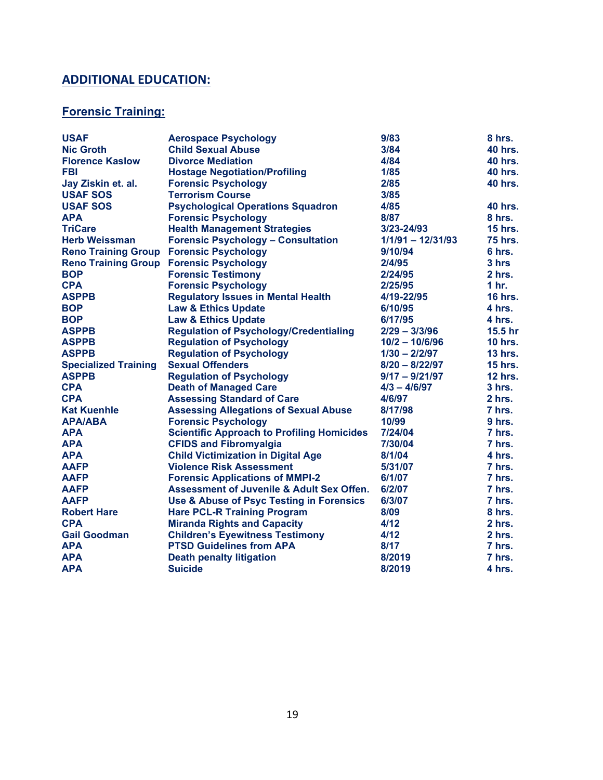# **ADDITIONAL EDUCATION:**

# **Forensic Training:**

| <b>USAF</b>                 | <b>Aerospace Psychology</b>                          | 9/83                | 8 hrs.             |
|-----------------------------|------------------------------------------------------|---------------------|--------------------|
| <b>Nic Groth</b>            | <b>Child Sexual Abuse</b>                            | 3/84                | <b>40 hrs.</b>     |
| <b>Florence Kaslow</b>      | <b>Divorce Mediation</b>                             | 4/84                | <b>40 hrs.</b>     |
| <b>FBI</b>                  | <b>Hostage Negotiation/Profiling</b>                 | 1/85                | <b>40 hrs.</b>     |
| Jay Ziskin et. al.          | <b>Forensic Psychology</b>                           | 2/85                | <b>40 hrs.</b>     |
| <b>USAF SOS</b>             | <b>Terrorism Course</b>                              | 3/85                |                    |
| <b>USAF SOS</b>             | <b>Psychological Operations Squadron</b>             | 4/85                | <b>40 hrs.</b>     |
| <b>APA</b>                  | <b>Forensic Psychology</b>                           | 8/87                | 8 hrs.             |
| <b>TriCare</b>              | <b>Health Management Strategies</b>                  | 3/23-24/93          | <b>15 hrs.</b>     |
| <b>Herb Weissman</b>        | <b>Forensic Psychology - Consultation</b>            | $1/1/91 - 12/31/93$ | <b>75 hrs.</b>     |
| <b>Reno Training Group</b>  | <b>Forensic Psychology</b>                           | 9/10/94             | 6 hrs.             |
| <b>Reno Training Group</b>  | <b>Forensic Psychology</b>                           | 2/4/95              | 3 hrs              |
| <b>BOP</b>                  | <b>Forensic Testimony</b>                            | 2/24/95             | $2$ hrs.           |
| <b>CPA</b>                  | <b>Forensic Psychology</b>                           | 2/25/95             | 1 <sub>hr.</sub>   |
| <b>ASPPB</b>                | <b>Regulatory Issues in Mental Health</b>            | 4/19-22/95          | <b>16 hrs.</b>     |
| <b>BOP</b>                  | <b>Law &amp; Ethics Update</b>                       | 6/10/95             | 4 hrs.             |
| <b>BOP</b>                  | <b>Law &amp; Ethics Update</b>                       | 6/17/95             | 4 hrs.             |
| <b>ASPPB</b>                | <b>Regulation of Psychology/Credentialing</b>        | $2/29 - 3/3/96$     | 15.5 <sub>hr</sub> |
| <b>ASPPB</b>                | <b>Regulation of Psychology</b>                      | $10/2 - 10/6/96$    | <b>10 hrs.</b>     |
| <b>ASPPB</b>                | <b>Regulation of Psychology</b>                      | $1/30 - 2/2/97$     | <b>13 hrs.</b>     |
| <b>Specialized Training</b> | <b>Sexual Offenders</b>                              | $8/20 - 8/22/97$    | <b>15 hrs.</b>     |
| <b>ASPPB</b>                | <b>Regulation of Psychology</b>                      | $9/17 - 9/21/97$    | <b>12 hrs.</b>     |
| <b>CPA</b>                  | <b>Death of Managed Care</b>                         | $4/3 - 4/6/97$      | $3hrs$ .           |
| <b>CPA</b>                  | <b>Assessing Standard of Care</b>                    | 4/6/97              | $2hrs$ .           |
| <b>Kat Kuenhle</b>          | <b>Assessing Allegations of Sexual Abuse</b>         | 8/17/98             | 7 hrs.             |
| <b>APA/ABA</b>              | <b>Forensic Psychology</b>                           | 10/99               | 9 hrs.             |
| <b>APA</b>                  | <b>Scientific Approach to Profiling Homicides</b>    | 7/24/04             | 7 hrs.             |
| <b>APA</b>                  | <b>CFIDS and Fibromyalgia</b>                        | 7/30/04             | 7 hrs.             |
| <b>APA</b>                  | <b>Child Victimization in Digital Age</b>            | 8/1/04              | 4 hrs.             |
| <b>AAFP</b>                 | <b>Violence Risk Assessment</b>                      | 5/31/07             | 7 hrs.             |
| <b>AAFP</b>                 | <b>Forensic Applications of MMPI-2</b>               | 6/1/07              | 7 hrs.             |
| <b>AAFP</b>                 | <b>Assessment of Juvenile &amp; Adult Sex Offen.</b> | 6/2/07              | 7 hrs.             |
| <b>AAFP</b>                 | Use & Abuse of Psyc Testing in Forensics             | 6/3/07              | 7 hrs.             |
| <b>Robert Hare</b>          | <b>Hare PCL-R Training Program</b>                   | 8/09                | 8 hrs.             |
| <b>CPA</b>                  | <b>Miranda Rights and Capacity</b>                   | 4/12                | 2 hrs.             |
| <b>Gail Goodman</b>         | <b>Children's Eyewitness Testimony</b>               | 4/12                | 2 hrs.             |
| <b>APA</b>                  | <b>PTSD Guidelines from APA</b>                      | 8/17                | 7 hrs.             |
| <b>APA</b>                  | <b>Death penalty litigation</b>                      | 8/2019              | 7 hrs.             |
| <b>APA</b>                  | <b>Suicide</b>                                       | 8/2019              | 4 hrs.             |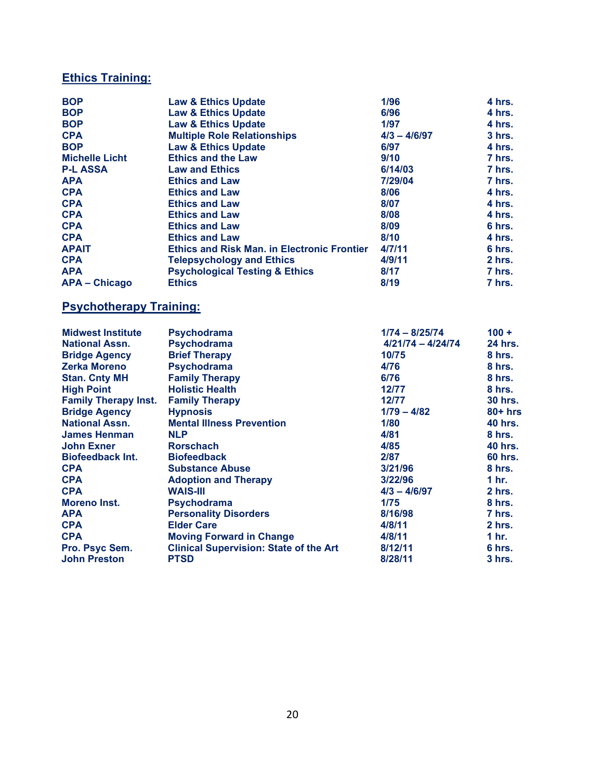## **Ethics Training:**

| <b>BOP</b>                     | <b>Law &amp; Ethics Update</b>                     | 1/96                | 4 hrs.            |
|--------------------------------|----------------------------------------------------|---------------------|-------------------|
| <b>BOP</b>                     | <b>Law &amp; Ethics Update</b>                     | 6/96                | 4 hrs.            |
| <b>BOP</b>                     | <b>Law &amp; Ethics Update</b>                     | 1/97                | 4 hrs.            |
| <b>CPA</b>                     | <b>Multiple Role Relationships</b>                 | $4/3 - 4/6/97$      | 3 hrs.            |
| <b>BOP</b>                     | <b>Law &amp; Ethics Update</b>                     | 6/97                | 4 hrs.            |
| <b>Michelle Licht</b>          | <b>Ethics and the Law</b>                          | 9/10                | 7 hrs.            |
| <b>P-L ASSA</b>                | <b>Law and Ethics</b>                              | 6/14/03             | 7 hrs.            |
| <b>APA</b>                     | <b>Ethics and Law</b>                              | 7/29/04             | 7 hrs.            |
| <b>CPA</b>                     | <b>Ethics and Law</b>                              | 8/06                | 4 hrs.            |
| <b>CPA</b>                     | <b>Ethics and Law</b>                              | 8/07                | 4 hrs.            |
| <b>CPA</b>                     | <b>Ethics and Law</b>                              | 8/08                | 4 hrs.            |
| <b>CPA</b>                     | <b>Ethics and Law</b>                              | 8/09                | 6 hrs.            |
| <b>CPA</b>                     | <b>Ethics and Law</b>                              | 8/10                | 4 hrs.            |
| <b>APAIT</b>                   | <b>Ethics and Risk Man. in Electronic Frontier</b> | 4/7/11              | 6 hrs.            |
| <b>CPA</b>                     | <b>Telepsychology and Ethics</b>                   | 4/9/11              | 2 hrs.            |
| <b>APA</b>                     | <b>Psychological Testing &amp; Ethics</b>          | 8/17                | 7 hrs.            |
| <b>APA - Chicago</b>           | <b>Ethics</b>                                      | 8/19                | 7 hrs.            |
| <b>Psychotherapy Training:</b> |                                                    |                     |                   |
| <b>Midwest Institute</b>       | <b>Psychodrama</b>                                 | 1/74 - 8/25/74      | $100 +$           |
| <b>National Assn.</b>          | <b>Psychodrama</b>                                 | $4/21/74 - 4/24/74$ | 24 hrs.           |
| <b>Bridge Agency</b>           | <b>Brief Therapy</b>                               | 10/75               | 8 hrs.            |
| <b>Zerka Moreno</b>            | <b>Psychodrama</b>                                 | 4/76                | 8 hrs.            |
| <b>Stan. Cnty MH</b>           | <b>Family Therapy</b>                              | 6/76                | 8 hrs.            |
| <b>High Point</b>              | <b>Holistic Health</b>                             | 12/77               | 8 hrs.            |
| <b>Family Therapy Inst.</b>    | <b>Family Therapy</b>                              | 12/77               | <b>30 hrs.</b>    |
| <b>Bridge Agency</b>           | <b>Hypnosis</b>                                    | $1/79 - 4/82$       | $80+$ hrs         |
| <b>National Assn.</b>          | <b>Mental Illness Prevention</b>                   | 1/80                | <b>40 hrs.</b>    |
| <b>James Henman</b>            | <b>NLP</b>                                         | 4/81                | 8 <sub>hrs.</sub> |
| <b>John Exner</b>              | <b>Rorschach</b>                                   | 4/85                | <b>40 hrs.</b>    |
| <b>Biofeedback Int.</b>        | <b>Biofeedback</b>                                 | 2/87                | 60 hrs.           |
| <b>CPA</b>                     | <b>Substance Abuse</b>                             | 3/21/96             | 8 hrs.            |
| <b>CPA</b>                     | <b>Adoption and Therapy</b>                        | 3/22/96             | 1 hr.             |
| <b>CPA</b>                     | <b>WAIS-III</b>                                    | $4/3 - 4/6/97$      | 2 hrs.            |
| <b>Moreno Inst.</b>            | <b>Psychodrama</b>                                 | 1/75                | 8 hrs.            |
| <b>APA</b>                     | <b>Personality Disorders</b>                       | 8/16/98             | 7 hrs.            |
| <b>CPA</b>                     | <b>Elder Care</b>                                  | 4/8/11              | 2 hrs.            |
| <b>CPA</b>                     | <b>Moving Forward in Change</b>                    | 4/8/11              | 1 hr.             |
| Pro. Psyc Sem.                 | <b>Clinical Supervision: State of the Art</b>      | 8/12/11             | 6 hrs.            |
| <b>John Preston</b>            | <b>PTSD</b>                                        | 8/28/11             | 3 hrs.            |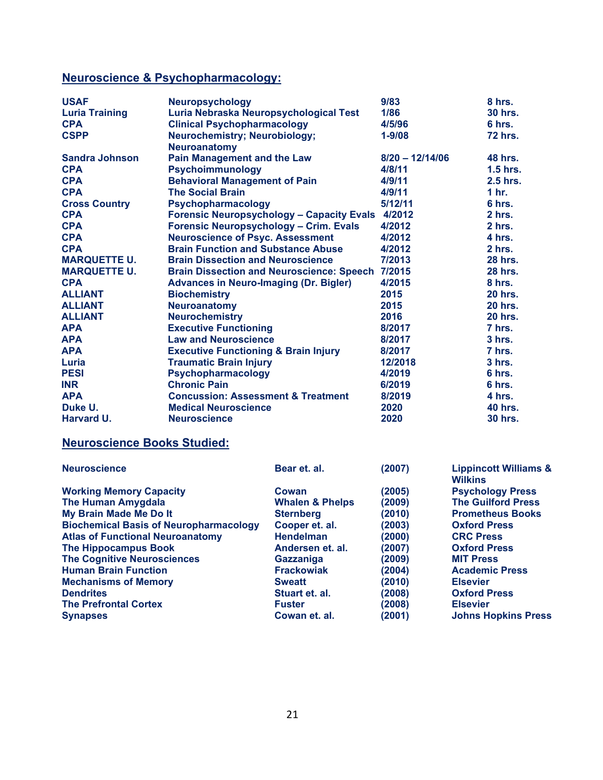# **Neuroscience & Psychopharmacology:**

| <b>USAF</b>                                   | <b>Neuropsychology</b>                          |                                                  | 9/83              | 8 hrs.                                             |  |
|-----------------------------------------------|-------------------------------------------------|--------------------------------------------------|-------------------|----------------------------------------------------|--|
| <b>Luria Training</b>                         | Luria Nebraska Neuropsychological Test          |                                                  | 1/86              | <b>30 hrs.</b>                                     |  |
| <b>CPA</b>                                    | <b>Clinical Psychopharmacology</b>              |                                                  | 4/5/96            | 6 hrs.                                             |  |
| <b>CSPP</b>                                   | <b>Neurochemistry; Neurobiology;</b>            |                                                  | $1 - 9/08$        | <b>72 hrs.</b>                                     |  |
|                                               | <b>Neuroanatomy</b>                             |                                                  |                   |                                                    |  |
| <b>Sandra Johnson</b>                         | <b>Pain Management and the Law</b>              |                                                  | $8/20 - 12/14/06$ | <b>48 hrs.</b>                                     |  |
| <b>CPA</b>                                    | Psychoimmunology                                |                                                  | 4/8/11            | $1.5$ hrs.                                         |  |
| <b>CPA</b>                                    | <b>Behavioral Management of Pain</b>            |                                                  | 4/9/11            | 2.5 hrs.                                           |  |
| <b>CPA</b>                                    | <b>The Social Brain</b>                         |                                                  | 4/9/11            | 1 hr.                                              |  |
| <b>Cross Country</b>                          | Psychopharmacology                              |                                                  | 5/12/11           | 6 hrs.                                             |  |
| <b>CPA</b>                                    |                                                 | <b>Forensic Neuropsychology - Capacity Evals</b> | 4/2012            | 2 hrs.                                             |  |
| <b>CPA</b>                                    | <b>Forensic Neuropsychology - Crim. Evals</b>   |                                                  | 4/2012            | 2 hrs.                                             |  |
| <b>CPA</b>                                    | <b>Neuroscience of Psyc. Assessment</b>         |                                                  | 4/2012            | 4 hrs.                                             |  |
| <b>CPA</b>                                    | <b>Brain Function and Substance Abuse</b>       |                                                  | 4/2012            | 2 hrs.                                             |  |
| <b>MARQUETTE U.</b>                           | <b>Brain Dissection and Neuroscience</b>        |                                                  | 7/2013            | <b>28 hrs.</b>                                     |  |
| <b>MARQUETTE U.</b>                           |                                                 | <b>Brain Dissection and Neuroscience: Speech</b> | 7/2015            | <b>28 hrs.</b>                                     |  |
| <b>CPA</b>                                    | <b>Advances in Neuro-Imaging (Dr. Bigler)</b>   |                                                  | 4/2015            | 8 hrs.                                             |  |
| <b>ALLIANT</b>                                | <b>Biochemistry</b>                             |                                                  | 2015              | <b>20 hrs.</b>                                     |  |
| <b>ALLIANT</b>                                | <b>Neuroanatomy</b>                             |                                                  | 2015              | <b>20 hrs.</b>                                     |  |
| <b>ALLIANT</b>                                | <b>Neurochemistry</b>                           |                                                  | 2016              | <b>20 hrs.</b>                                     |  |
| <b>APA</b>                                    | <b>Executive Functioning</b>                    |                                                  | 8/2017            | 7 hrs.                                             |  |
| <b>APA</b>                                    | <b>Law and Neuroscience</b>                     |                                                  | 8/2017            | $3$ hrs.                                           |  |
| <b>APA</b>                                    | <b>Executive Functioning &amp; Brain Injury</b> |                                                  | 8/2017            | 7 hrs.                                             |  |
| <b>Traumatic Brain Injury</b><br>Luria        |                                                 |                                                  | 12/2018           | $3$ hrs.                                           |  |
| <b>PESI</b>                                   | Psychopharmacology                              |                                                  | 4/2019            | 6 hrs.                                             |  |
| <b>INR</b>                                    | <b>Chronic Pain</b>                             |                                                  | 6/2019            | 6 hrs.                                             |  |
| <b>APA</b>                                    | <b>Concussion: Assessment &amp; Treatment</b>   |                                                  | 8/2019            | 4 hrs.                                             |  |
| Duke U.                                       | <b>Medical Neuroscience</b>                     |                                                  | 2020              | <b>40 hrs.</b>                                     |  |
| Harvard U.                                    | <b>Neuroscience</b>                             |                                                  | 2020              | <b>30 hrs.</b>                                     |  |
| <b>Neuroscience Books Studied:</b>            |                                                 |                                                  |                   |                                                    |  |
|                                               |                                                 |                                                  |                   |                                                    |  |
| <b>Neuroscience</b>                           |                                                 | Bear et. al.                                     | (2007)            | <b>Lippincott Williams &amp;</b><br><b>Wilkins</b> |  |
| <b>Working Memory Capacity</b>                |                                                 | <b>Cowan</b>                                     | (2005)            | <b>Psychology Press</b>                            |  |
| <b>The Human Amygdala</b>                     |                                                 | <b>Whalen &amp; Phelps</b>                       | (2009)            | <b>The Guilford Press</b>                          |  |
| My Brain Made Me Do It                        |                                                 | <b>Sternberg</b>                                 | (2010)            | <b>Prometheus Books</b>                            |  |
| <b>Biochemical Basis of Neuropharmacology</b> |                                                 | Cooper et. al.                                   | (2003)            | <b>Oxford Press</b>                                |  |
| <b>Atlas of Functional Neuroanatomy</b>       |                                                 | <b>Hendelman</b>                                 | (2000)            | <b>CRC Press</b>                                   |  |
|                                               |                                                 |                                                  |                   |                                                    |  |

| The Hippocampus Book               | Andersen et. al.  | (2007) | <b>Oxford Press</b>        |
|------------------------------------|-------------------|--------|----------------------------|
| <b>The Cognitive Neurosciences</b> | Gazzaniga         | (2009) | <b>MIT Press</b>           |
| <b>Human Brain Function</b>        | <b>Frackowiak</b> | (2004) | <b>Academic Press</b>      |
| <b>Mechanisms of Memory</b>        | <b>Sweatt</b>     | (2010) | <b>Elsevier</b>            |
| <b>Dendrites</b>                   | Stuart et. al.    | (2008) | <b>Oxford Press</b>        |
| <b>The Prefrontal Cortex</b>       | <b>Fuster</b>     | (2008) | <b>Elsevier</b>            |
| <b>Synapses</b>                    | Cowan et. al.     | (2001) | <b>Johns Hopkins Press</b> |